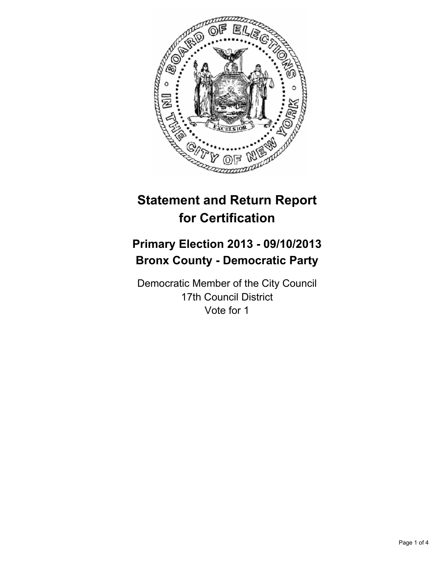

# **Statement and Return Report for Certification**

# **Primary Election 2013 - 09/10/2013 Bronx County - Democratic Party**

Democratic Member of the City Council 17th Council District Vote for 1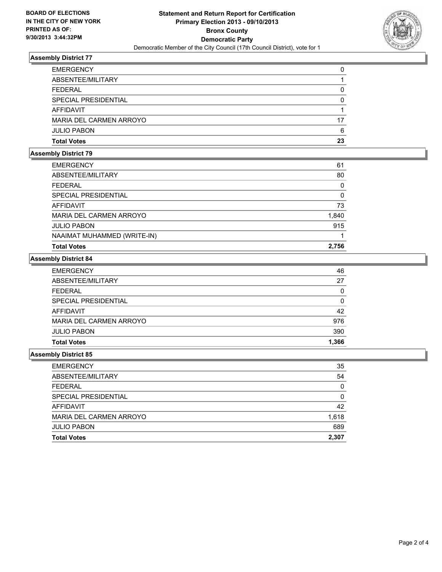

# **Assembly District 77**

| <b>EMERGENCY</b>        | 0  |
|-------------------------|----|
| ABSENTEE/MILITARY       |    |
| <b>FEDERAL</b>          |    |
| SPECIAL PRESIDENTIAL    | 0  |
| AFFIDAVIT               |    |
| MARIA DEL CARMEN ARROYO | 17 |
| <b>JULIO PABON</b>      | 6  |
| <b>Total Votes</b>      | 23 |

# **Assembly District 79**

| <b>Total Votes</b>          | 2.756 |
|-----------------------------|-------|
| NAAIMAT MUHAMMED (WRITE-IN) |       |
| <b>JULIO PABON</b>          | 915   |
| MARIA DEL CARMEN ARROYO     | 1,840 |
| AFFIDAVIT                   | 73    |
| SPECIAL PRESIDENTIAL        | 0     |
| <b>FEDERAL</b>              | 0     |
| ABSENTEE/MILITARY           | 80    |
| <b>EMERGENCY</b>            | 61    |

# **Assembly District 84**

| <b>EMERGENCY</b>        | 46    |
|-------------------------|-------|
| ABSENTEE/MILITARY       | 27    |
| <b>FEDERAL</b>          | 0     |
| SPECIAL PRESIDENTIAL    | 0     |
| AFFIDAVIT               | 42    |
| MARIA DEL CARMEN ARROYO | 976   |
| <b>JULIO PABON</b>      | 390   |
| <b>Total Votes</b>      | 1,366 |

#### **Assembly District 85**

| <b>EMERGENCY</b>        | 35       |
|-------------------------|----------|
| ABSENTEE/MILITARY       | 54       |
| <b>FEDERAL</b>          | 0        |
| SPECIAL PRESIDENTIAL    | $\Omega$ |
| AFFIDAVIT               | 42       |
| MARIA DEL CARMEN ARROYO | 1,618    |
| <b>JULIO PABON</b>      | 689      |
| <b>Total Votes</b>      | 2,307    |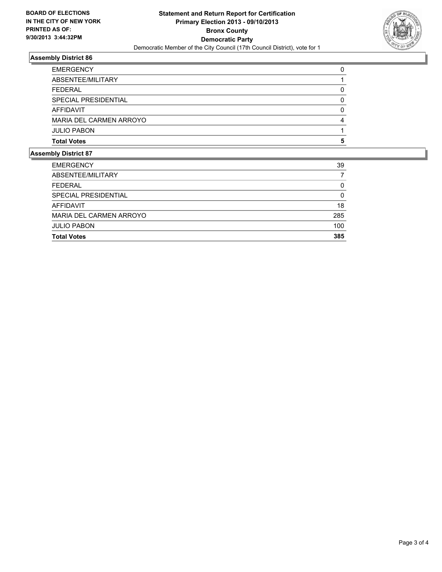

# **Assembly District 86**

| <b>Total Votes</b>      | 5            |
|-------------------------|--------------|
| <b>JULIO PABON</b>      |              |
| MARIA DEL CARMEN ARROYO | 4            |
| AFFIDAVIT               | <sup>0</sup> |
| SPECIAL PRESIDENTIAL    |              |
| <b>FEDERAL</b>          |              |
| ABSENTEE/MILITARY       |              |
| <b>EMERGENCY</b>        |              |

# **Assembly District 87**

| <b>Total Votes</b>          | 385 |
|-----------------------------|-----|
| <b>JULIO PABON</b>          | 100 |
| MARIA DEL CARMEN ARROYO     | 285 |
| <b>AFFIDAVIT</b>            | 18  |
| <b>SPECIAL PRESIDENTIAL</b> | 0   |
| <b>FEDERAL</b>              | 0   |
| ABSENTEE/MILITARY           |     |
| <b>EMERGENCY</b>            | 39  |